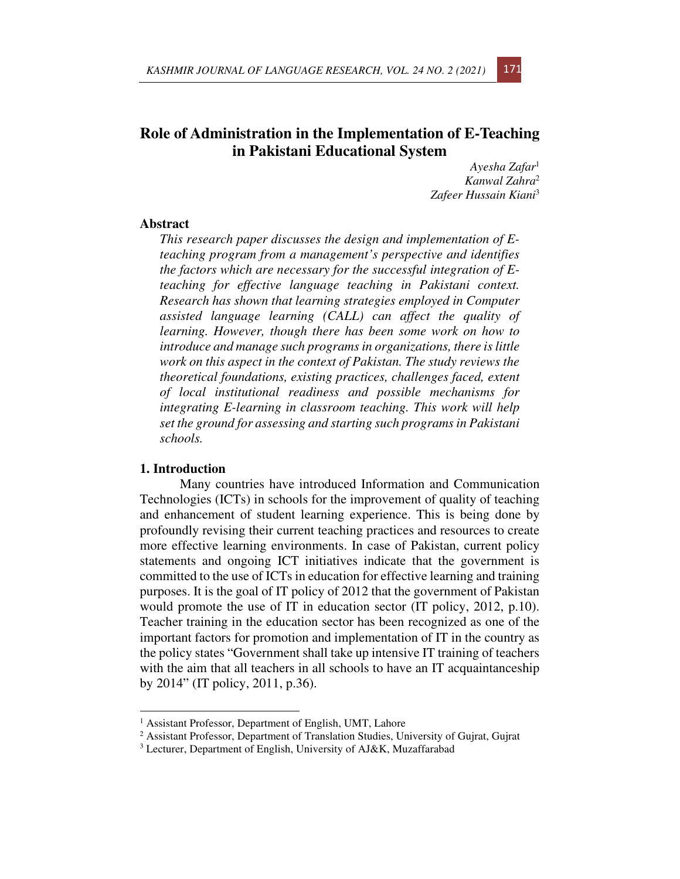# **Role of Administration in the Implementation of E-Teaching in Pakistani Educational System**

*Ayesha Zafar*<sup>1</sup> *Kanwal Zahra*<sup>2</sup> *Zafeer Hussain Kiani*<sup>3</sup>

### **Abstract**

*This research paper discusses the design and implementation of Eteaching program from a management's perspective and identifies the factors which are necessary for the successful integration of Eteaching for effective language teaching in Pakistani context. Research has shown that learning strategies employed in Computer assisted language learning (CALL) can affect the quality of learning. However, though there has been some work on how to introduce and manage such programs in organizations, there is little work on this aspect in the context of Pakistan. The study reviews the theoretical foundations, existing practices, challenges faced, extent of local institutional readiness and possible mechanisms for integrating E-learning in classroom teaching. This work will help set the ground for assessing and starting such programs in Pakistani schools.* 

#### **1. Introduction**

Many countries have introduced Information and Communication Technologies (ICTs) in schools for the improvement of quality of teaching and enhancement of student learning experience. This is being done by profoundly revising their current teaching practices and resources to create more effective learning environments. In case of Pakistan, current policy statements and ongoing ICT initiatives indicate that the government is committed to the use of ICTs in education for effective learning and training purposes. It is the goal of IT policy of 2012 that the government of Pakistan would promote the use of IT in education sector (IT policy, 2012, p.10). Teacher training in the education sector has been recognized as one of the important factors for promotion and implementation of IT in the country as the policy states "Government shall take up intensive IT training of teachers with the aim that all teachers in all schools to have an IT acquaintanceship by 2014" (IT policy, 2011, p.36).



<sup>&</sup>lt;sup>1</sup> Assistant Professor, Department of English, UMT, Lahore

<sup>&</sup>lt;sup>2</sup> Assistant Professor, Department of Translation Studies, University of Gujrat, Gujrat

 $3$  Lecturer, Department of English, University of AJ&K, Muzaffarabad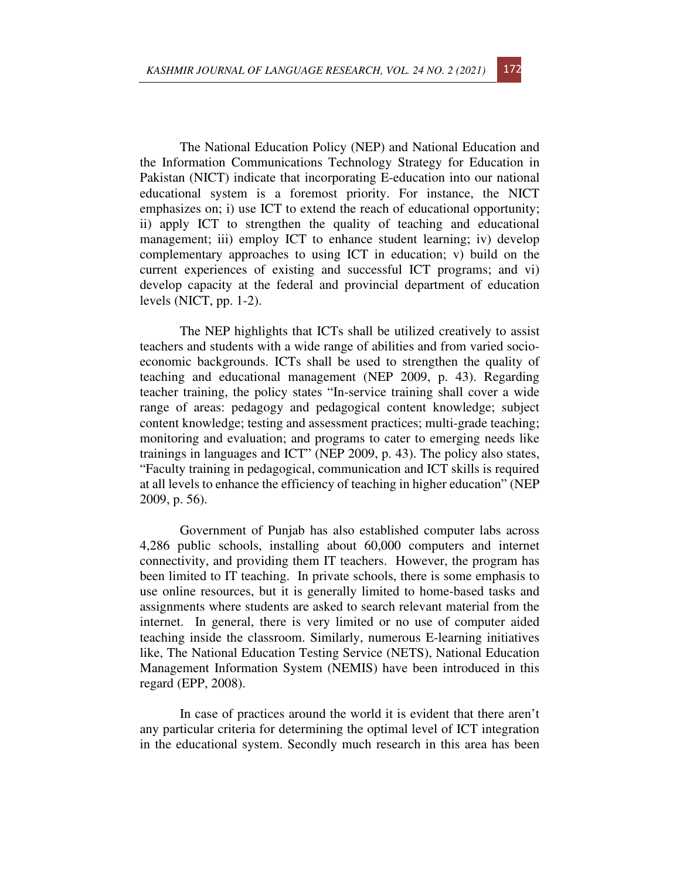The National Education Policy (NEP) and National Education and the Information Communications Technology Strategy for Education in Pakistan (NICT) indicate that incorporating E-education into our national educational system is a foremost priority. For instance, the NICT emphasizes on; i) use ICT to extend the reach of educational opportunity; ii) apply ICT to strengthen the quality of teaching and educational management; iii) employ ICT to enhance student learning; iv) develop complementary approaches to using ICT in education; v) build on the current experiences of existing and successful ICT programs; and vi) develop capacity at the federal and provincial department of education levels (NICT, pp. 1-2).

The NEP highlights that ICTs shall be utilized creatively to assist teachers and students with a wide range of abilities and from varied socioeconomic backgrounds. ICTs shall be used to strengthen the quality of teaching and educational management (NEP 2009, p. 43). Regarding teacher training, the policy states "In-service training shall cover a wide range of areas: pedagogy and pedagogical content knowledge; subject content knowledge; testing and assessment practices; multi-grade teaching; monitoring and evaluation; and programs to cater to emerging needs like trainings in languages and ICT" (NEP 2009, p. 43). The policy also states, "Faculty training in pedagogical, communication and ICT skills is required at all levels to enhance the efficiency of teaching in higher education" (NEP 2009, p. 56).

Government of Punjab has also established computer labs across 4,286 public schools, installing about 60,000 computers and internet connectivity, and providing them IT teachers. However, the program has been limited to IT teaching. In private schools, there is some emphasis to use online resources, but it is generally limited to home-based tasks and assignments where students are asked to search relevant material from the internet. In general, there is very limited or no use of computer aided teaching inside the classroom. Similarly, numerous E-learning initiatives like, The National Education Testing Service (NETS), National Education Management Information System (NEMIS) have been introduced in this regard (EPP, 2008).

In case of practices around the world it is evident that there aren't any particular criteria for determining the optimal level of ICT integration in the educational system. Secondly much research in this area has been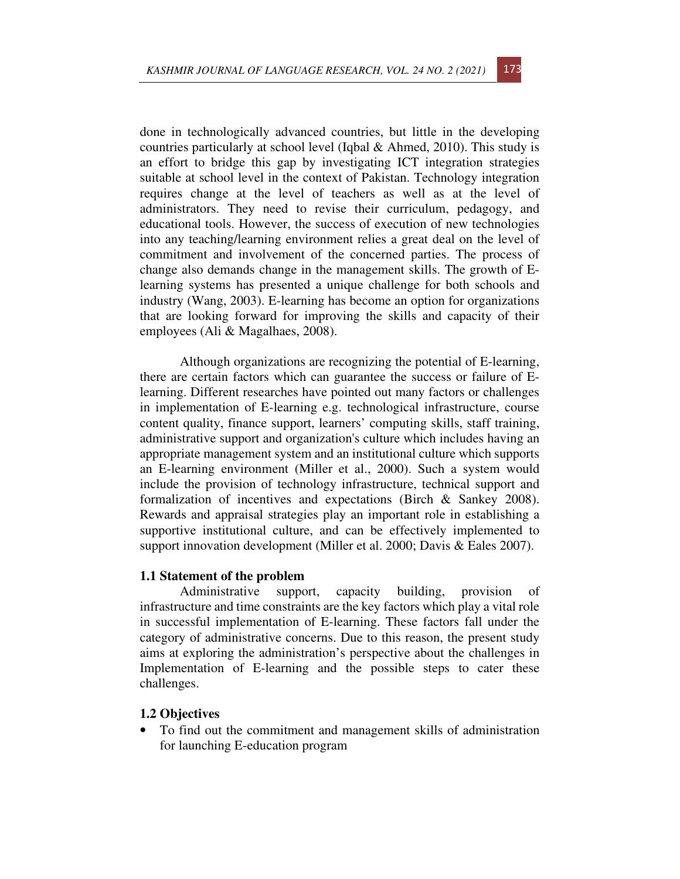done in technologically advanced countries, but little in the developing countries particularly at school level (Iqbal & Ahmed, 2010). This study is an effort to bridge this gap by investigating ICT integration strategies suitable at school level in the context of Pakistan. Technology integration requires change at the level of teachers as well as at the level of administrators. They need to revise their curriculum, pedagogy, and educational tools. However, the success of execution of new technologies into any teaching/learning environment relies a great deal on the level of commitment and involvement of the concerned parties. The process of change also demands change in the management skills. The growth of Elearning systems has presented a unique challenge for both schools and industry (Wang, 2003). E-learning has become an option for organizations that are looking forward for improving the skills and capacity of their employees (Ali & Magalhaes, 2008).

Although organizations are recognizing the potential of E-learning, there are certain factors which can guarantee the success or failure of Elearning. Different researches have pointed out many factors or challenges in implementation of E-learning e.g. technological infrastructure, course content quality, finance support, learners' computing skills, staff training, administrative support and organization's culture which includes having an appropriate management system and an institutional culture which supports an E-learning environment (Miller et al., 2000). Such a system would include the provision of technology infrastructure, technical support and formalization of incentives and expectations (Birch & Sankey 2008). Rewards and appraisal strategies play an important role in establishing a supportive institutional culture, and can be effectively implemented to support innovation development (Miller et al. 2000; Davis & Eales 2007).

## **1.1 Statement of the problem**

Administrative support, capacity building, provision of infrastructure and time constraints are the key factors which play a vital role in successful implementation of E-learning. These factors fall under the category of administrative concerns. Due to this reason, the present study aims at exploring the administration's perspective about the challenges in Implementation of E-learning and the possible steps to cater these challenges.

## **1.2 Objectives**

• To find out the commitment and management skills of administration for launching E-education program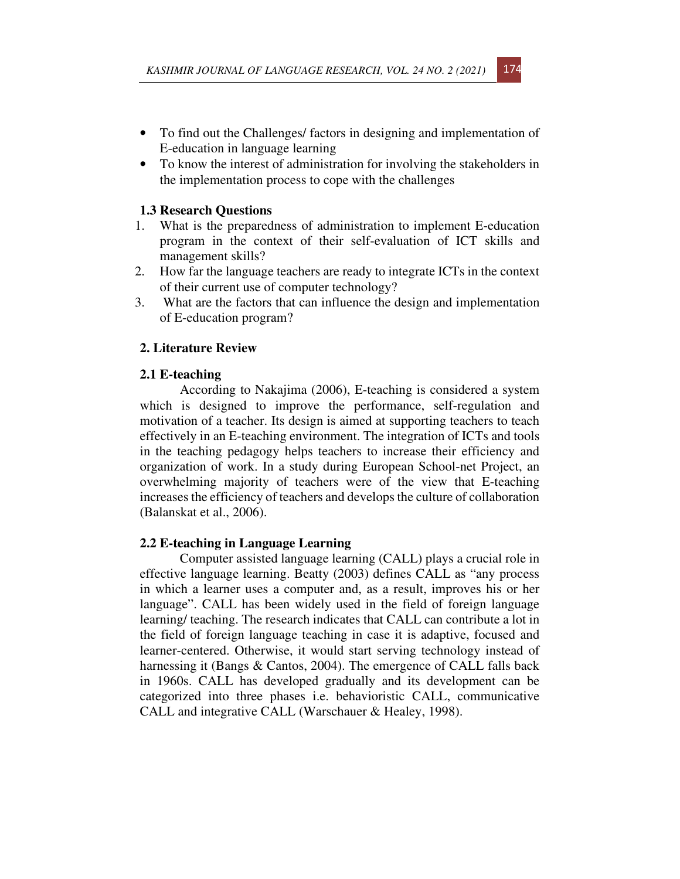- To find out the Challenges/ factors in designing and implementation of E-education in language learning
- To know the interest of administration for involving the stakeholders in the implementation process to cope with the challenges

### **1.3 Research Questions**

- 1. What is the preparedness of administration to implement E-education program in the context of their self-evaluation of ICT skills and management skills?
- 2. How far the language teachers are ready to integrate ICTs in the context of their current use of computer technology?
- 3. What are the factors that can influence the design and implementation of E-education program?

## **2. Literature Review**

### **2.1 E-teaching**

According to Nakajima (2006), E-teaching is considered a system which is designed to improve the performance, self-regulation and motivation of a teacher. Its design is aimed at supporting teachers to teach effectively in an E-teaching environment. The integration of ICTs and tools in the teaching pedagogy helps teachers to increase their efficiency and organization of work. In a study during European School-net Project, an overwhelming majority of teachers were of the view that E-teaching increases the efficiency of teachers and develops the culture of collaboration (Balanskat et al., 2006).

## **2.2 E-teaching in Language Learning**

Computer assisted language learning (CALL) plays a crucial role in effective language learning. Beatty (2003) defines CALL as "any process in which a learner uses a computer and, as a result, improves his or her language". CALL has been widely used in the field of foreign language learning/ teaching. The research indicates that CALL can contribute a lot in the field of foreign language teaching in case it is adaptive, focused and learner-centered. Otherwise, it would start serving technology instead of harnessing it (Bangs & Cantos, 2004). The emergence of CALL falls back in 1960s. CALL has developed gradually and its development can be categorized into three phases i.e. behavioristic CALL, communicative CALL and integrative CALL (Warschauer & Healey, 1998).

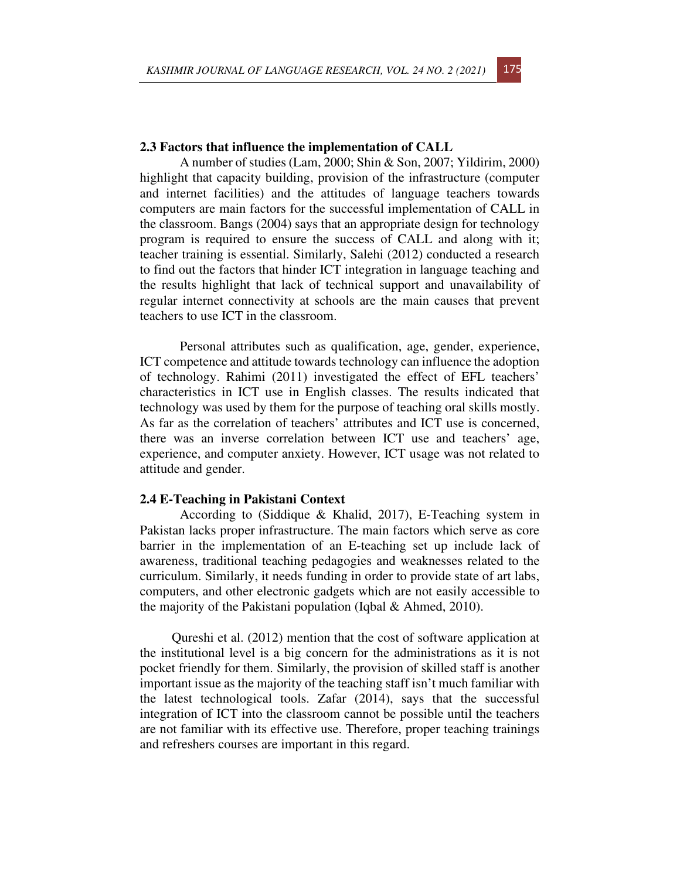### **2.3 Factors that influence the implementation of CALL**

A number of studies (Lam, 2000; Shin & Son, 2007; Yildirim, 2000) highlight that capacity building, provision of the infrastructure (computer and internet facilities) and the attitudes of language teachers towards computers are main factors for the successful implementation of CALL in the classroom. Bangs (2004) says that an appropriate design for technology program is required to ensure the success of CALL and along with it; teacher training is essential. Similarly, Salehi (2012) conducted a research to find out the factors that hinder ICT integration in language teaching and the results highlight that lack of technical support and unavailability of regular internet connectivity at schools are the main causes that prevent teachers to use ICT in the classroom.

Personal attributes such as qualification, age, gender, experience, ICT competence and attitude towards technology can influence the adoption of technology. Rahimi (2011) investigated the effect of EFL teachers' characteristics in ICT use in English classes. The results indicated that technology was used by them for the purpose of teaching oral skills mostly. As far as the correlation of teachers' attributes and ICT use is concerned, there was an inverse correlation between ICT use and teachers' age, experience, and computer anxiety. However, ICT usage was not related to attitude and gender.

#### **2.4 E-Teaching in Pakistani Context**

According to (Siddique & Khalid, 2017), E-Teaching system in Pakistan lacks proper infrastructure. The main factors which serve as core barrier in the implementation of an E-teaching set up include lack of awareness, traditional teaching pedagogies and weaknesses related to the curriculum. Similarly, it needs funding in order to provide state of art labs, computers, and other electronic gadgets which are not easily accessible to the majority of the Pakistani population (Iqbal & Ahmed, 2010).

Qureshi et al. (2012) mention that the cost of software application at the institutional level is a big concern for the administrations as it is not pocket friendly for them. Similarly, the provision of skilled staff is another important issue as the majority of the teaching staff isn't much familiar with the latest technological tools. Zafar (2014), says that the successful integration of ICT into the classroom cannot be possible until the teachers are not familiar with its effective use. Therefore, proper teaching trainings and refreshers courses are important in this regard.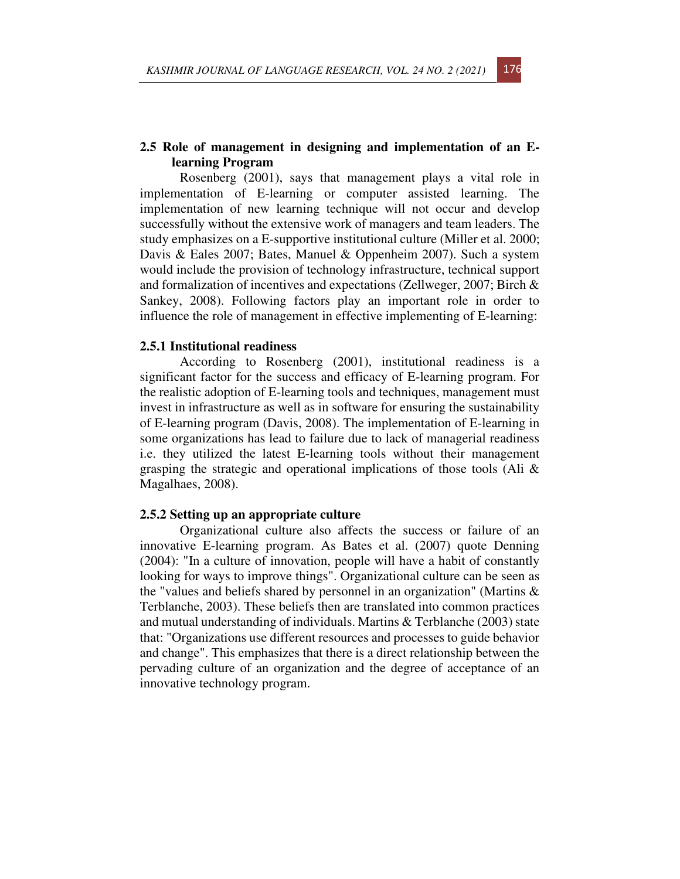## **2.5 Role of management in designing and implementation of an Elearning Program**

Rosenberg (2001), says that management plays a vital role in implementation of E-learning or computer assisted learning. The implementation of new learning technique will not occur and develop successfully without the extensive work of managers and team leaders. The study emphasizes on a E-supportive institutional culture (Miller et al. 2000; Davis & Eales 2007; Bates, Manuel & Oppenheim 2007). Such a system would include the provision of technology infrastructure, technical support and formalization of incentives and expectations (Zellweger, 2007; Birch & Sankey, 2008). Following factors play an important role in order to influence the role of management in effective implementing of E-learning:

#### **2.5.1 Institutional readiness**

According to Rosenberg (2001), institutional readiness is a significant factor for the success and efficacy of E-learning program. For the realistic adoption of E-learning tools and techniques, management must invest in infrastructure as well as in software for ensuring the sustainability of E-learning program (Davis, 2008). The implementation of E-learning in some organizations has lead to failure due to lack of managerial readiness i.e. they utilized the latest E-learning tools without their management grasping the strategic and operational implications of those tools (Ali & Magalhaes, 2008).

#### **2.5.2 Setting up an appropriate culture**

Organizational culture also affects the success or failure of an innovative E-learning program. As Bates et al. (2007) quote Denning (2004): "In a culture of innovation, people will have a habit of constantly looking for ways to improve things". Organizational culture can be seen as the "values and beliefs shared by personnel in an organization" (Martins & Terblanche, 2003). These beliefs then are translated into common practices and mutual understanding of individuals. Martins & Terblanche (2003) state that: "Organizations use different resources and processes to guide behavior and change". This emphasizes that there is a direct relationship between the pervading culture of an organization and the degree of acceptance of an innovative technology program.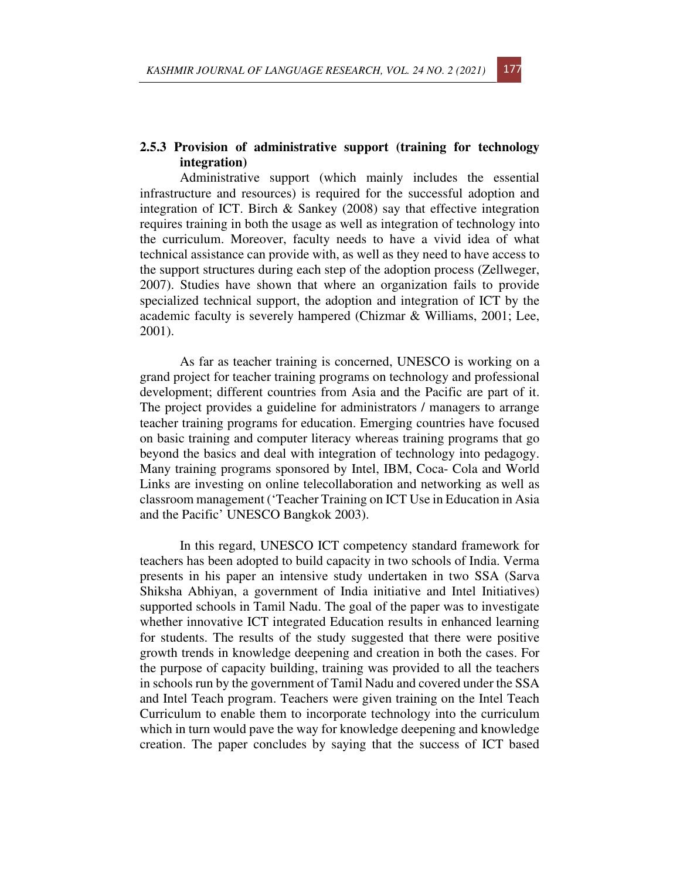## **2.5.3 Provision of administrative support (training for technology integration)**

Administrative support (which mainly includes the essential infrastructure and resources) is required for the successful adoption and integration of ICT. Birch & Sankey (2008) say that effective integration requires training in both the usage as well as integration of technology into the curriculum. Moreover, faculty needs to have a vivid idea of what technical assistance can provide with, as well as they need to have access to the support structures during each step of the adoption process (Zellweger, 2007). Studies have shown that where an organization fails to provide specialized technical support, the adoption and integration of ICT by the academic faculty is severely hampered (Chizmar & Williams, 2001; Lee, 2001).

As far as teacher training is concerned, UNESCO is working on a grand project for teacher training programs on technology and professional development; different countries from Asia and the Pacific are part of it. The project provides a guideline for administrators / managers to arrange teacher training programs for education. Emerging countries have focused on basic training and computer literacy whereas training programs that go beyond the basics and deal with integration of technology into pedagogy. Many training programs sponsored by Intel, IBM, Coca- Cola and World Links are investing on online telecollaboration and networking as well as classroom management ('Teacher Training on ICT Use in Education in Asia and the Pacific' UNESCO Bangkok 2003).

In this regard, UNESCO ICT competency standard framework for teachers has been adopted to build capacity in two schools of India. Verma presents in his paper an intensive study undertaken in two SSA (Sarva Shiksha Abhiyan, a government of India initiative and Intel Initiatives) supported schools in Tamil Nadu. The goal of the paper was to investigate whether innovative ICT integrated Education results in enhanced learning for students. The results of the study suggested that there were positive growth trends in knowledge deepening and creation in both the cases. For the purpose of capacity building, training was provided to all the teachers in schools run by the government of Tamil Nadu and covered under the SSA and Intel Teach program. Teachers were given training on the Intel Teach Curriculum to enable them to incorporate technology into the curriculum which in turn would pave the way for knowledge deepening and knowledge creation. The paper concludes by saying that the success of ICT based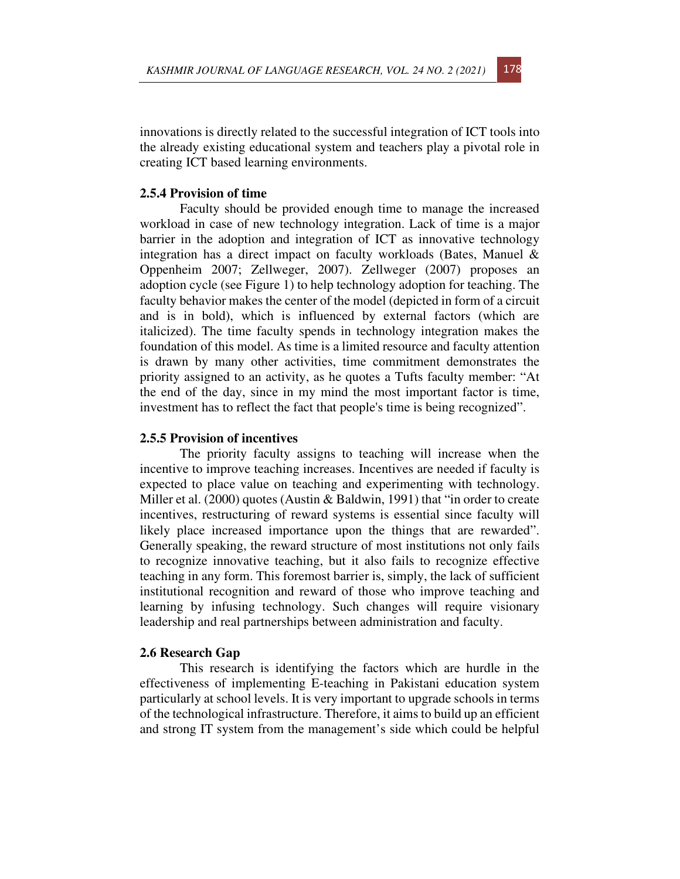innovations is directly related to the successful integration of ICT tools into the already existing educational system and teachers play a pivotal role in creating ICT based learning environments.

### **2.5.4 Provision of time**

Faculty should be provided enough time to manage the increased workload in case of new technology integration. Lack of time is a major barrier in the adoption and integration of ICT as innovative technology integration has a direct impact on faculty workloads (Bates, Manuel & Oppenheim 2007; Zellweger, 2007). Zellweger (2007) proposes an adoption cycle (see Figure 1) to help technology adoption for teaching. The faculty behavior makes the center of the model (depicted in form of a circuit and is in bold), which is influenced by external factors (which are italicized). The time faculty spends in technology integration makes the foundation of this model. As time is a limited resource and faculty attention is drawn by many other activities, time commitment demonstrates the priority assigned to an activity, as he quotes a Tufts faculty member: "At the end of the day, since in my mind the most important factor is time, investment has to reflect the fact that people's time is being recognized".

## **2.5.5 Provision of incentives**

The priority faculty assigns to teaching will increase when the incentive to improve teaching increases. Incentives are needed if faculty is expected to place value on teaching and experimenting with technology. Miller et al. (2000) quotes (Austin & Baldwin, 1991) that "in order to create incentives, restructuring of reward systems is essential since faculty will likely place increased importance upon the things that are rewarded". Generally speaking, the reward structure of most institutions not only fails to recognize innovative teaching, but it also fails to recognize effective teaching in any form. This foremost barrier is, simply, the lack of sufficient institutional recognition and reward of those who improve teaching and learning by infusing technology. Such changes will require visionary leadership and real partnerships between administration and faculty.

#### **2.6 Research Gap**

This research is identifying the factors which are hurdle in the effectiveness of implementing E-teaching in Pakistani education system particularly at school levels. It is very important to upgrade schools in terms of the technological infrastructure. Therefore, it aims to build up an efficient and strong IT system from the management's side which could be helpful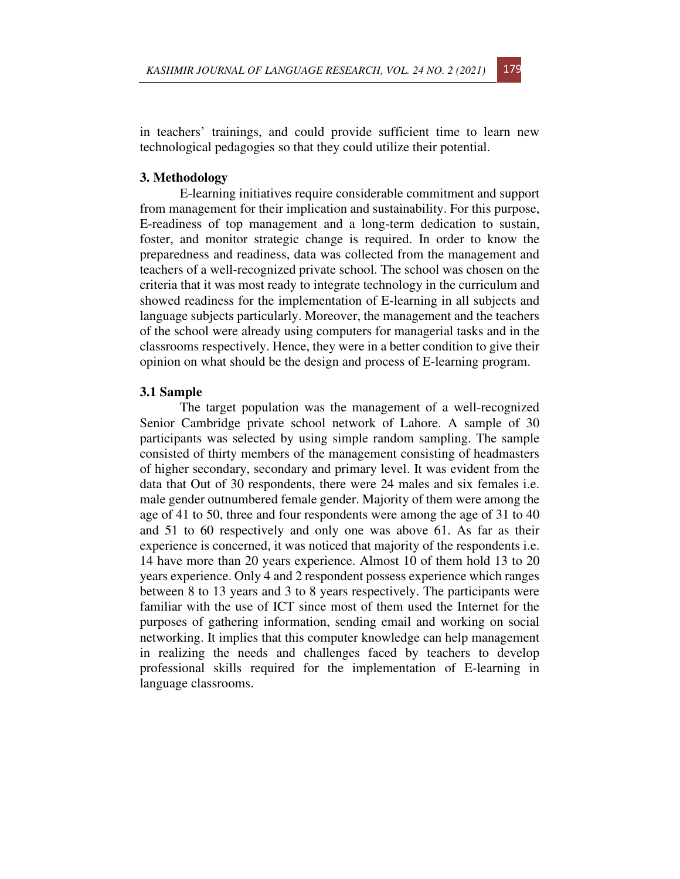

in teachers' trainings, and could provide sufficient time to learn new technological pedagogies so that they could utilize their potential.

## **3. Methodology**

E-learning initiatives require considerable commitment and support from management for their implication and sustainability. For this purpose, E-readiness of top management and a long-term dedication to sustain, foster, and monitor strategic change is required. In order to know the preparedness and readiness, data was collected from the management and teachers of a well-recognized private school. The school was chosen on the criteria that it was most ready to integrate technology in the curriculum and showed readiness for the implementation of E-learning in all subjects and language subjects particularly. Moreover, the management and the teachers of the school were already using computers for managerial tasks and in the classrooms respectively. Hence, they were in a better condition to give their opinion on what should be the design and process of E-learning program.

#### **3.1 Sample**

The target population was the management of a well-recognized Senior Cambridge private school network of Lahore. A sample of 30 participants was selected by using simple random sampling. The sample consisted of thirty members of the management consisting of headmasters of higher secondary, secondary and primary level. It was evident from the data that Out of 30 respondents, there were 24 males and six females i.e. male gender outnumbered female gender. Majority of them were among the age of 41 to 50, three and four respondents were among the age of 31 to 40 and 51 to 60 respectively and only one was above 61. As far as their experience is concerned, it was noticed that majority of the respondents i.e. 14 have more than 20 years experience. Almost 10 of them hold 13 to 20 years experience. Only 4 and 2 respondent possess experience which ranges between 8 to 13 years and 3 to 8 years respectively. The participants were familiar with the use of ICT since most of them used the Internet for the purposes of gathering information, sending email and working on social networking. It implies that this computer knowledge can help management in realizing the needs and challenges faced by teachers to develop professional skills required for the implementation of E-learning in language classrooms.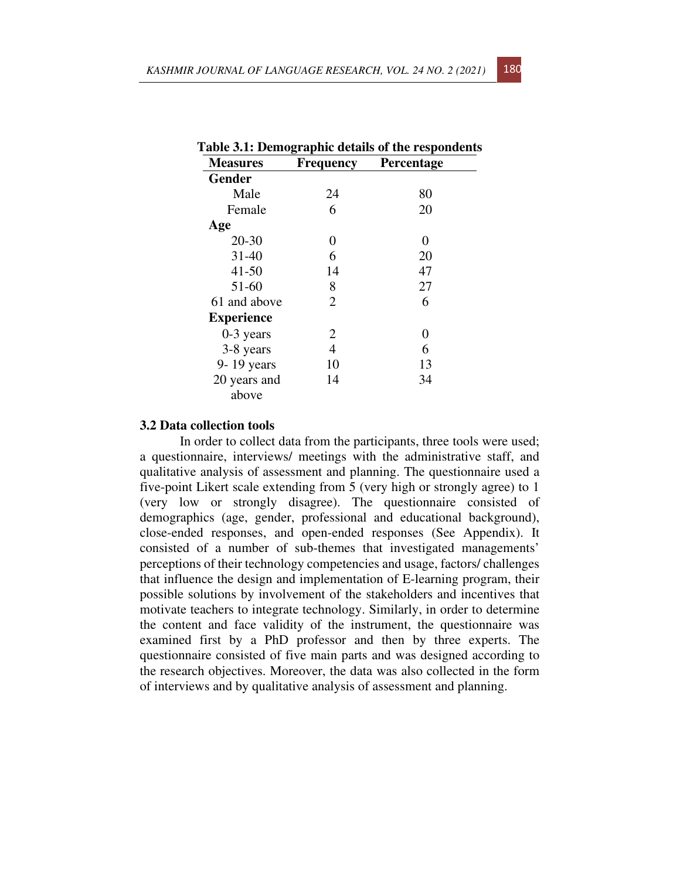| <b>Measures</b>   | <b>Frequency</b> | <b>Percentage</b> |  |  |
|-------------------|------------------|-------------------|--|--|
| <b>Gender</b>     |                  |                   |  |  |
| Male              | 24               | 80                |  |  |
| Female            | 6                | 20                |  |  |
| Age               |                  |                   |  |  |
| $20 - 30$         | 0                | 0                 |  |  |
| $31 - 40$         | 6                | 20                |  |  |
| $41 - 50$         | 14               | 47                |  |  |
| 51-60             | 8                | 27                |  |  |
| 61 and above      | $\overline{2}$   | 6                 |  |  |
| <b>Experience</b> |                  |                   |  |  |
| $0-3$ years       | 2                | 0                 |  |  |
| 3-8 years         | 4                | 6                 |  |  |
| 9-19 years        | 10               | 13                |  |  |
| 20 years and      | 14               | 34                |  |  |
| above             |                  |                   |  |  |

|                 |                  | Table 3.1: Demographic details of the respondents |
|-----------------|------------------|---------------------------------------------------|
| <b>Measures</b> | <b>Frequency</b> | Percentage                                        |

#### **3.2 Data collection tools**

In order to collect data from the participants, three tools were used; a questionnaire, interviews/ meetings with the administrative staff, and qualitative analysis of assessment and planning. The questionnaire used a five-point Likert scale extending from 5 (very high or strongly agree) to 1 (very low or strongly disagree). The questionnaire consisted of demographics (age, gender, professional and educational background), close-ended responses, and open-ended responses (See Appendix). It consisted of a number of sub-themes that investigated managements' perceptions of their technology competencies and usage, factors/ challenges that influence the design and implementation of E-learning program, their possible solutions by involvement of the stakeholders and incentives that motivate teachers to integrate technology. Similarly, in order to determine the content and face validity of the instrument, the questionnaire was examined first by a PhD professor and then by three experts. The questionnaire consisted of five main parts and was designed according to the research objectives. Moreover, the data was also collected in the form of interviews and by qualitative analysis of assessment and planning.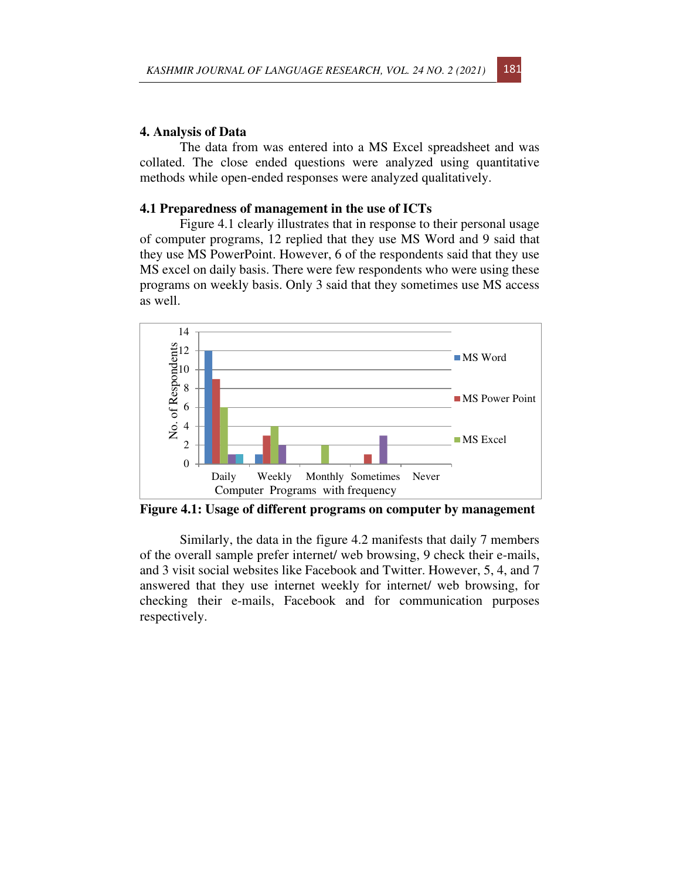### **4. Analysis of Data**

The data from was entered into a MS Excel spreadsheet and was collated. The close ended questions were analyzed using quantitative methods while open-ended responses were analyzed qualitatively.

## **4.1 Preparedness of management in the use of ICTs**

Figure 4.1 clearly illustrates that in response to their personal usage of computer programs, 12 replied that they use MS Word and 9 said that they use MS PowerPoint. However, 6 of the respondents said that they use MS excel on daily basis. There were few respondents who were using these programs on weekly basis. Only 3 said that they sometimes use MS access as well.



**Figure 4.1: Usage of different programs on computer by management** 

Similarly, the data in the figure 4.2 manifests that daily 7 members of the overall sample prefer internet/ web browsing, 9 check their e-mails, and 3 visit social websites like Facebook and Twitter. However, 5, 4, and 7 answered that they use internet weekly for internet/ web browsing, for checking their e-mails, Facebook and for communication purposes respectively.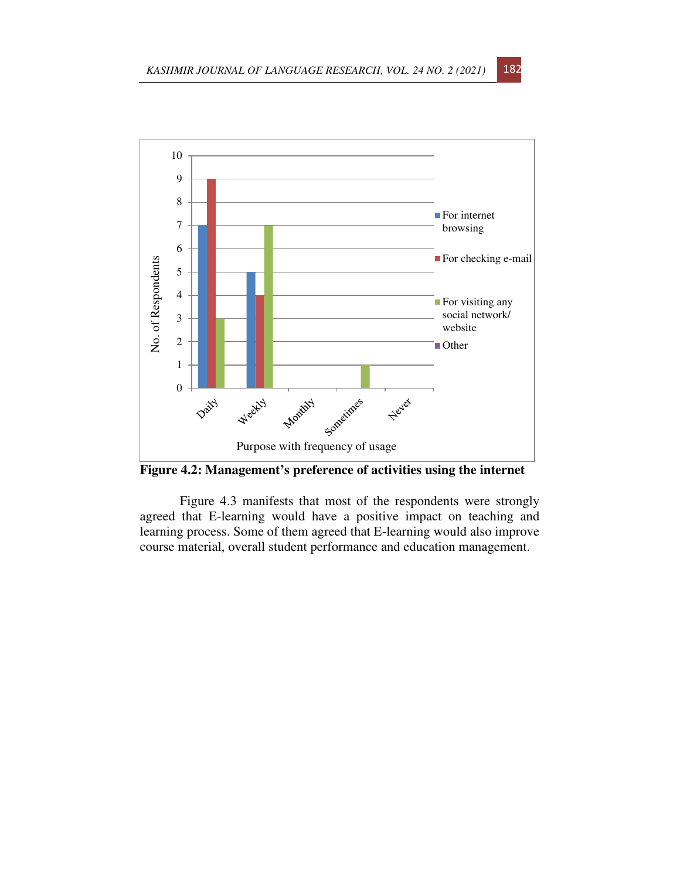

**Figure 4.2: Management's preference of activities using the internet** 

Figure 4.3 manifests that most of the respondents were strongly agreed that E-learning would have a positive impact on teaching and learning process. Some of them agreed that E-learning would also improve course material, overall student performance and education management.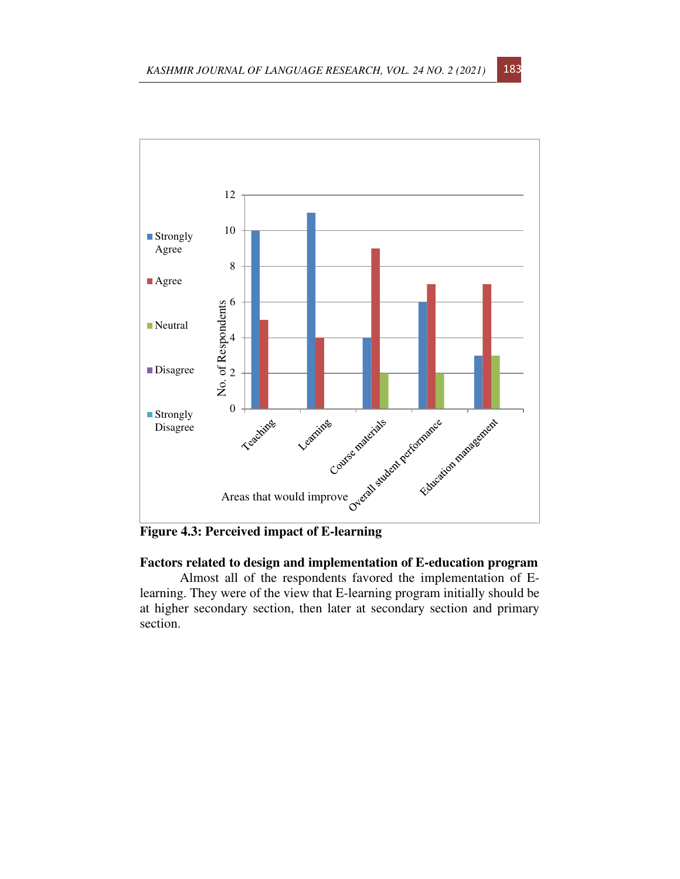

**Figure 4.3: Perceived impact of E-learning** 

# **Factors related to design and implementation of E-education program**

Almost all of the respondents favored the implementation of Elearning. They were of the view that E-learning program initially should be at higher secondary section, then later at secondary section and primary section.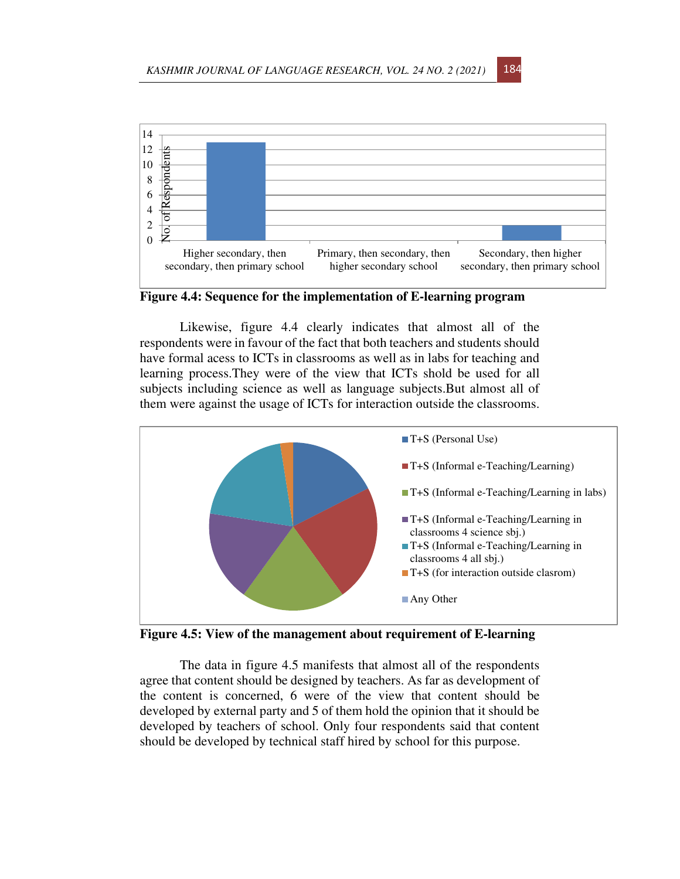

**Figure 4.4: Sequence for the implementation of E-learning program** 

Likewise, figure 4.4 clearly indicates that almost all of the respondents were in favour of the fact that both teachers and students should have formal acess to ICTs in classrooms as well as in labs for teaching and learning process.They were of the view that ICTs shold be used for all subjects including science as well as language subjects.But almost all of them were against the usage of ICTs for interaction outside the classrooms.



**Figure 4.5: View of the management about requirement of E-learning** 

The data in figure 4.5 manifests that almost all of the respondents agree that content should be designed by teachers. As far as development of the content is concerned, 6 were of the view that content should be developed by external party and 5 of them hold the opinion that it should be developed by teachers of school. Only four respondents said that content should be developed by technical staff hired by school for this purpose.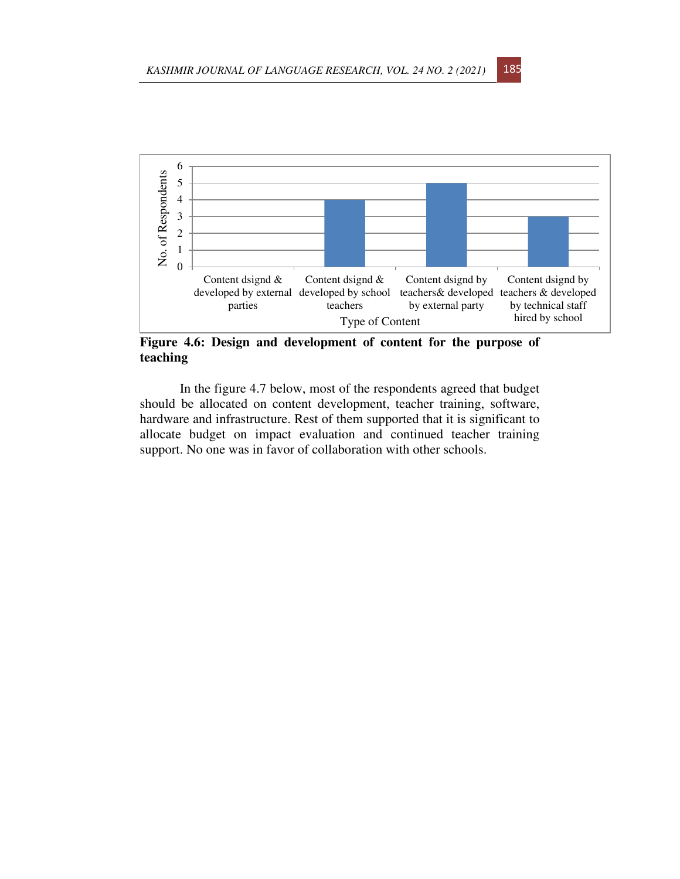

**Figure 4.6: Design and development of content for the purpose of teaching** 

In the figure 4.7 below, most of the respondents agreed that budget should be allocated on content development, teacher training, software, hardware and infrastructure. Rest of them supported that it is significant to allocate budget on impact evaluation and continued teacher training support. No one was in favor of collaboration with other schools.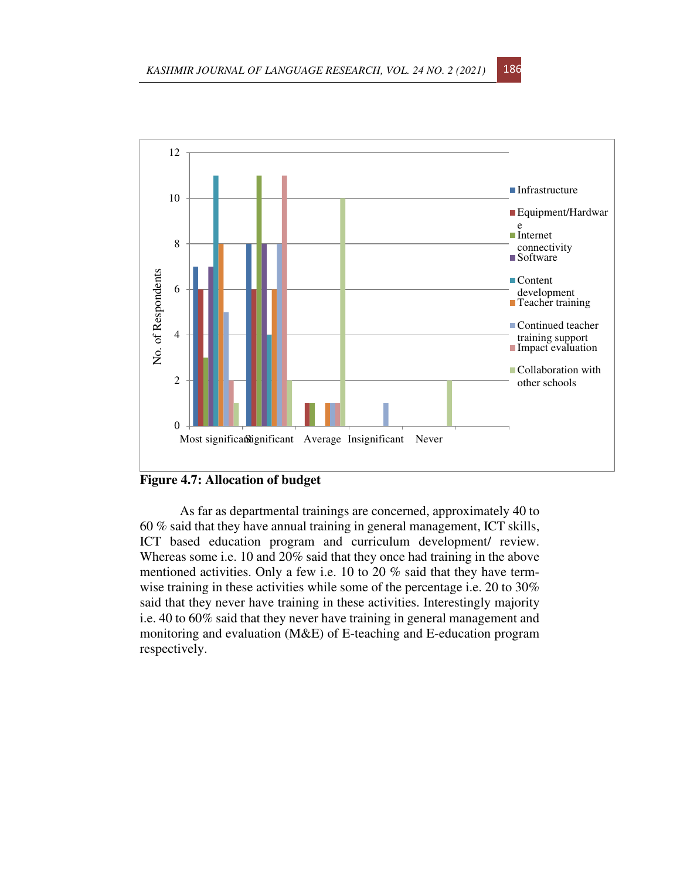

# **Figure 4.7: Allocation of budget**

As far as departmental trainings are concerned, approximately 40 to 60 % said that they have annual training in general management, ICT skills, ICT based education program and curriculum development/ review. Whereas some i.e. 10 and 20% said that they once had training in the above mentioned activities. Only a few i.e. 10 to 20 % said that they have termwise training in these activities while some of the percentage i.e. 20 to 30% said that they never have training in these activities. Interestingly majority i.e. 40 to 60% said that they never have training in general management and monitoring and evaluation (M&E) of E-teaching and E-education program respectively.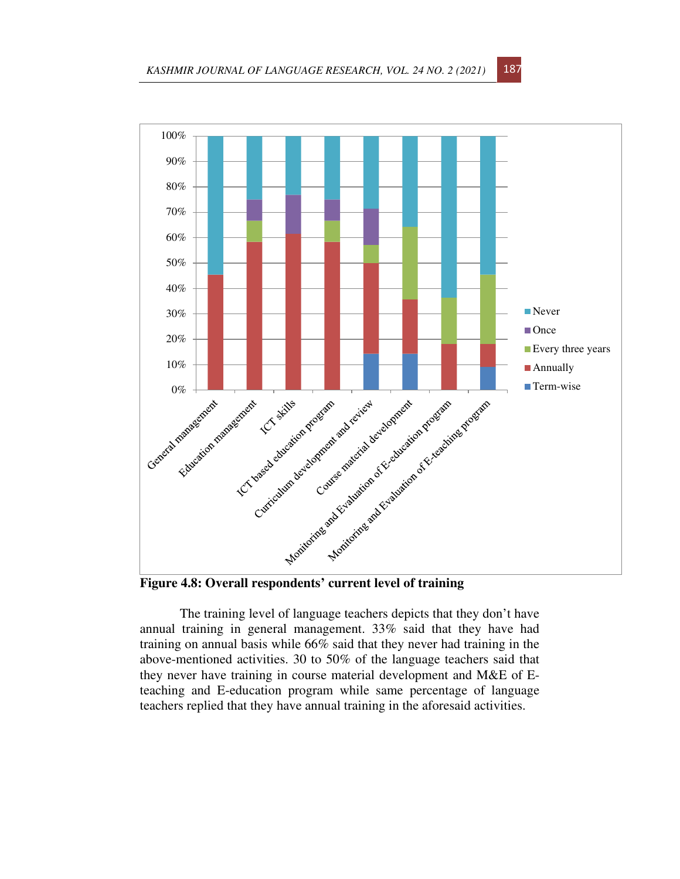

The training level of language teachers depicts that they don't have annual training in general management. 33% said that they have had training on annual basis while 66% said that they never had training in the above-mentioned activities. 30 to 50% of the language teachers said that they never have training in course material development and M&E of Eteaching and E-education program while same percentage of language teachers replied that they have annual training in the aforesaid activities.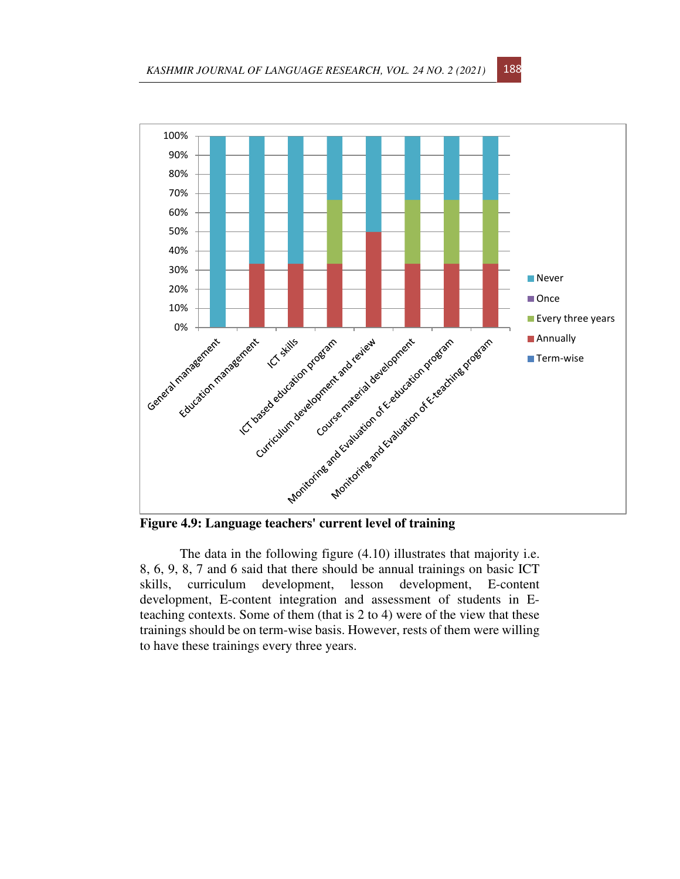

The data in the following figure (4.10) illustrates that majority i.e. 8, 6, 9, 8, 7 and 6 said that there should be annual trainings on basic ICT skills, curriculum development, lesson development, E-content development, E-content integration and assessment of students in Eteaching contexts. Some of them (that is 2 to 4) were of the view that these trainings should be on term-wise basis. However, rests of them were willing to have these trainings every three years.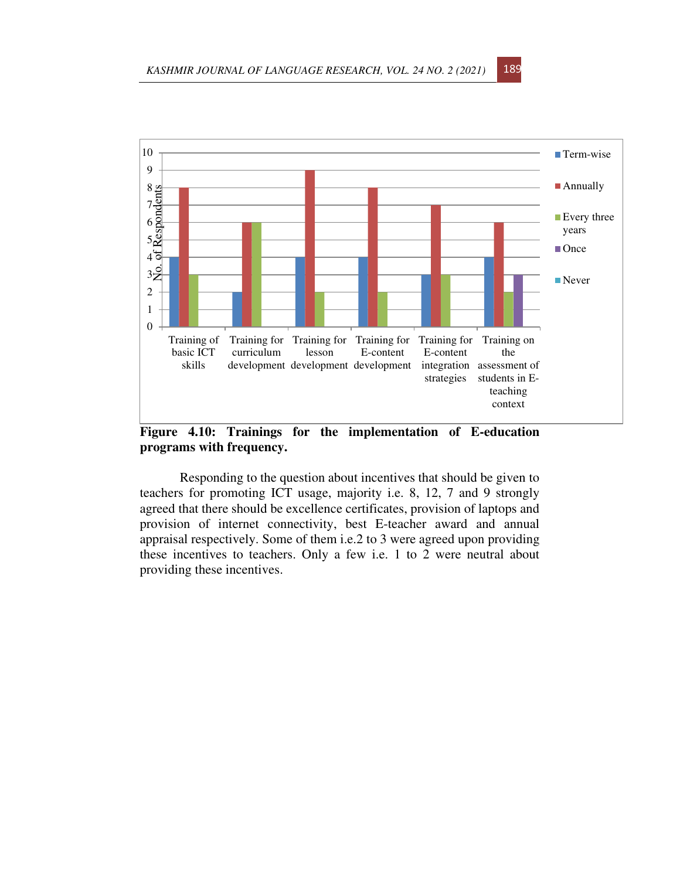

**Figure 4.10: Trainings for the implementation of E-education programs with frequency.** 

Responding to the question about incentives that should be given to teachers for promoting ICT usage, majority i.e. 8, 12, 7 and 9 strongly agreed that there should be excellence certificates, provision of laptops and provision of internet connectivity, best E-teacher award and annual appraisal respectively. Some of them i.e.2 to 3 were agreed upon providing these incentives to teachers. Only a few i.e. 1 to 2 were neutral about providing these incentives.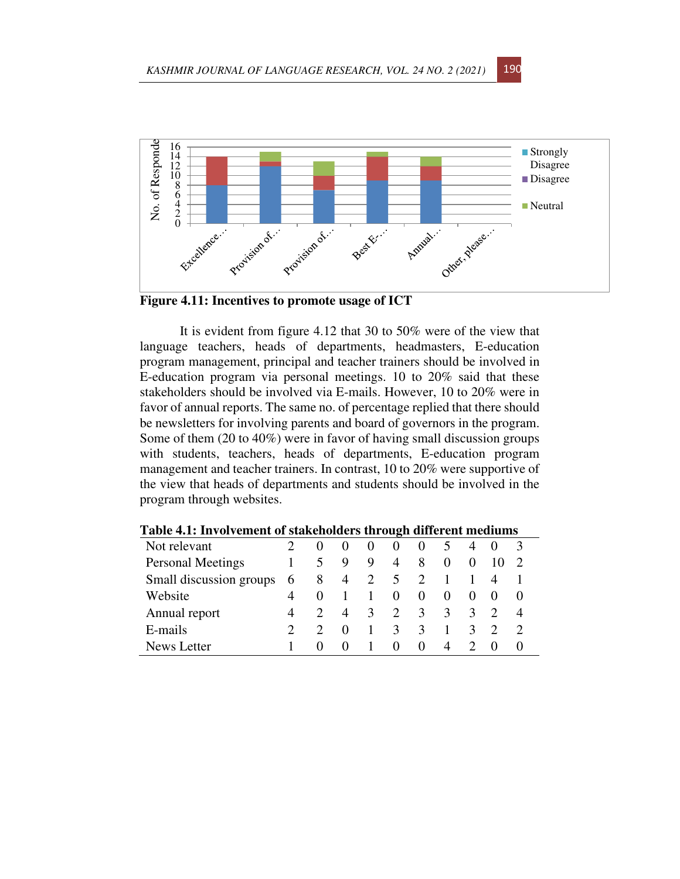

**Figure 4.11: Incentives to promote usage of ICT** 

It is evident from figure 4.12 that 30 to 50% were of the view that language teachers, heads of departments, headmasters, E-education program management, principal and teacher trainers should be involved in E-education program via personal meetings. 10 to 20% said that these stakeholders should be involved via E-mails. However, 10 to 20% were in favor of annual reports. The same no. of percentage replied that there should be newsletters for involving parents and board of governors in the program. Some of them (20 to 40%) were in favor of having small discussion groups with students, teachers, heads of departments, E-education program management and teacher trainers. In contrast, 10 to 20% were supportive of the view that heads of departments and students should be involved in the program through websites.

| Twore her introducing the organization will be an anter the internation |   |   |                  |   |                |               |          |          |  |          |
|-------------------------------------------------------------------------|---|---|------------------|---|----------------|---------------|----------|----------|--|----------|
| Not relevant                                                            |   |   |                  |   |                | $\theta$      |          |          |  |          |
| <b>Personal Meetings</b>                                                |   |   | 9                | 9 | $\overline{4}$ | 8             | $\theta$ | $\theta$ |  |          |
| Small discussion groups                                                 | 6 | 8 | $\overline{4}$   | 2 | 5              | 2             |          |          |  |          |
| Website                                                                 |   |   |                  |   | $\theta$       | $\theta$      | $\theta$ | $\theta$ |  | $\theta$ |
| Annual report                                                           |   |   | 4                | 3 | 2              | $\mathcal{E}$ | 3        | 3        |  |          |
| E-mails                                                                 |   |   |                  |   | 3              | ζ             |          | 3        |  |          |
| <b>News Letter</b>                                                      |   |   | $\left( \right)$ |   | $\theta$       | $\theta$      | 4        |          |  |          |

**Table 4.1: Involvement of stakeholders through different mediums**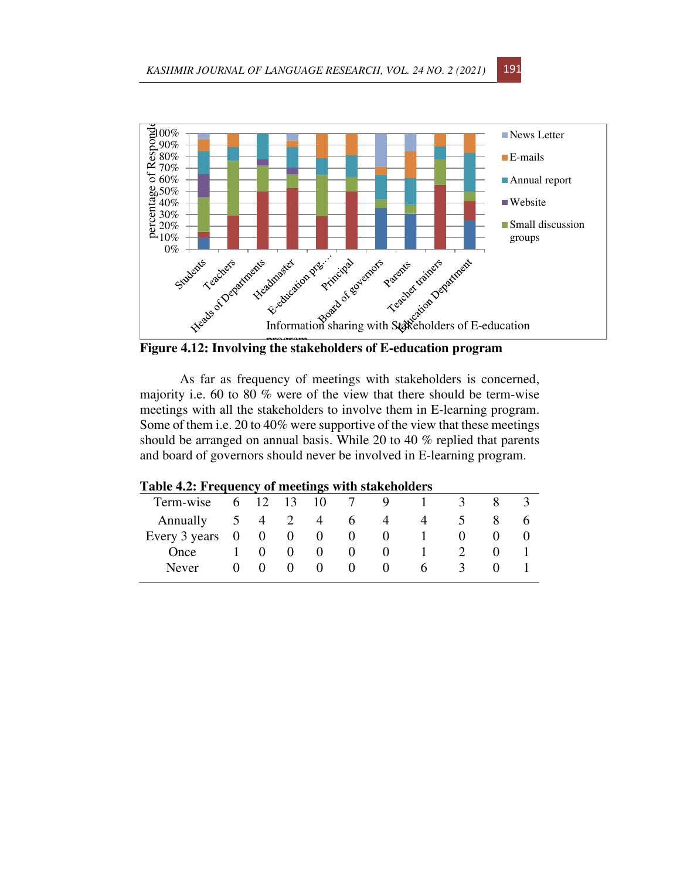

**Figure 4.12: Involving the stakeholders of E-education program** 

As far as frequency of meetings with stakeholders is concerned, majority i.e. 60 to 80 % were of the view that there should be term-wise meetings with all the stakeholders to involve them in E-learning program. Some of them i.e. 20 to 40% were supportive of the view that these meetings should be arranged on annual basis. While 20 to 40 % replied that parents and board of governors should never be involved in E-learning program.

| Table 4.2: Frequency of meetings with stakeholders |          |              |                |          |              |    |               |  |
|----------------------------------------------------|----------|--------------|----------------|----------|--------------|----|---------------|--|
| Term-wise                                          | 6 12     | 13           | 10             |          | Q,           |    |               |  |
| Annually                                           | 5 4 2    |              | 4              | $\sigma$ | 4            | 4  |               |  |
| Every $3 \text{ years} \quad 0$                    | $\sim 0$ | $\theta$     | $\overline{0}$ | 0        | $\theta$     |    |               |  |
| Once                                               |          |              | $\theta$       | $\theta$ | $\mathbf{U}$ |    |               |  |
| Never                                              |          | $\mathbf{U}$ | $\theta$       | $\theta$ | 0            | h. | $\mathcal{L}$ |  |

## **Table 4.2: Frequency of meetings with stakeholders**

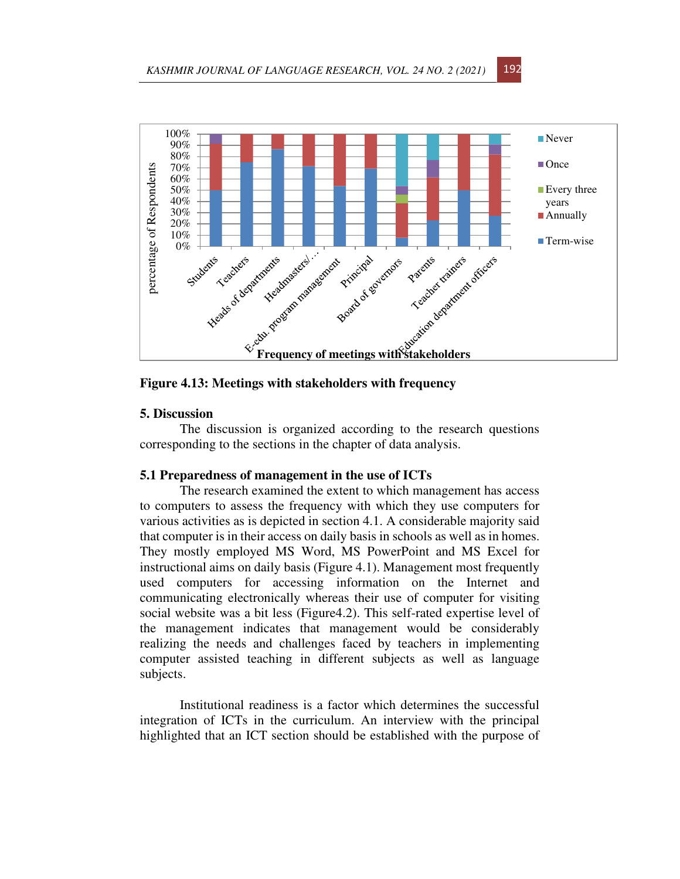

**Figure 4.13: Meetings with stakeholders with frequency** 

## **5. Discussion**

The discussion is organized according to the research questions corresponding to the sections in the chapter of data analysis.

### **5.1 Preparedness of management in the use of ICTs**

The research examined the extent to which management has access to computers to assess the frequency with which they use computers for various activities as is depicted in section 4.1. A considerable majority said that computer is in their access on daily basis in schools as well as in homes. They mostly employed MS Word, MS PowerPoint and MS Excel for instructional aims on daily basis (Figure 4.1). Management most frequently used computers for accessing information on the Internet and communicating electronically whereas their use of computer for visiting social website was a bit less (Figure4.2). This self-rated expertise level of the management indicates that management would be considerably realizing the needs and challenges faced by teachers in implementing computer assisted teaching in different subjects as well as language subjects.

Institutional readiness is a factor which determines the successful integration of ICTs in the curriculum. An interview with the principal highlighted that an ICT section should be established with the purpose of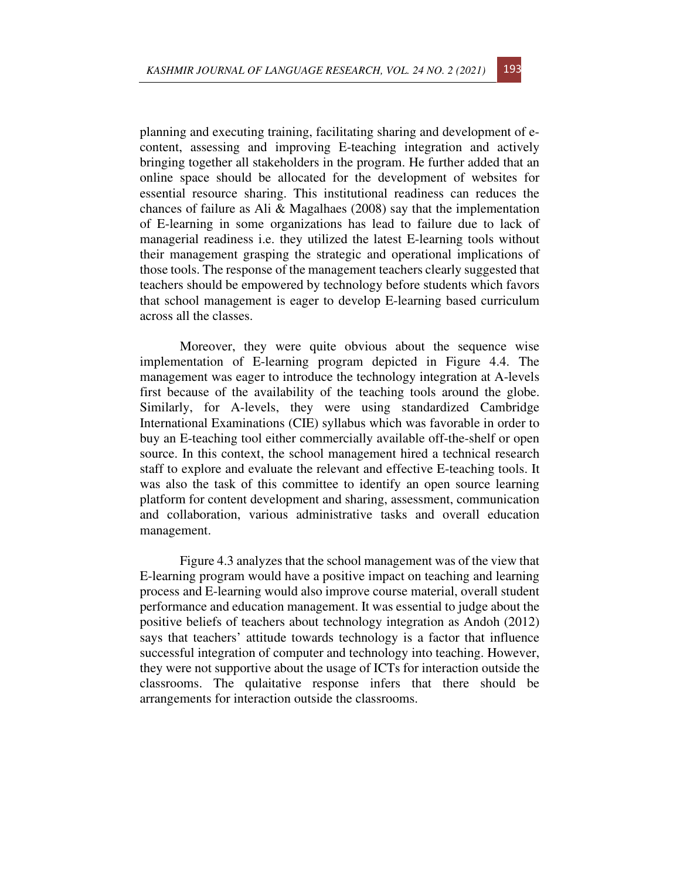planning and executing training, facilitating sharing and development of econtent, assessing and improving E-teaching integration and actively bringing together all stakeholders in the program. He further added that an online space should be allocated for the development of websites for essential resource sharing. This institutional readiness can reduces the chances of failure as Ali & Magalhaes (2008) say that the implementation of E-learning in some organizations has lead to failure due to lack of managerial readiness i.e. they utilized the latest E-learning tools without their management grasping the strategic and operational implications of those tools. The response of the management teachers clearly suggested that teachers should be empowered by technology before students which favors that school management is eager to develop E-learning based curriculum across all the classes.

Moreover, they were quite obvious about the sequence wise implementation of E-learning program depicted in Figure 4.4. The management was eager to introduce the technology integration at A-levels first because of the availability of the teaching tools around the globe. Similarly, for A-levels, they were using standardized Cambridge International Examinations (CIE) syllabus which was favorable in order to buy an E-teaching tool either commercially available off-the-shelf or open source. In this context, the school management hired a technical research staff to explore and evaluate the relevant and effective E-teaching tools. It was also the task of this committee to identify an open source learning platform for content development and sharing, assessment, communication and collaboration, various administrative tasks and overall education management.

Figure 4.3 analyzes that the school management was of the view that E-learning program would have a positive impact on teaching and learning process and E-learning would also improve course material, overall student performance and education management. It was essential to judge about the positive beliefs of teachers about technology integration as Andoh (2012) says that teachers' attitude towards technology is a factor that influence successful integration of computer and technology into teaching. However, they were not supportive about the usage of ICTs for interaction outside the classrooms. The qulaitative response infers that there should be arrangements for interaction outside the classrooms.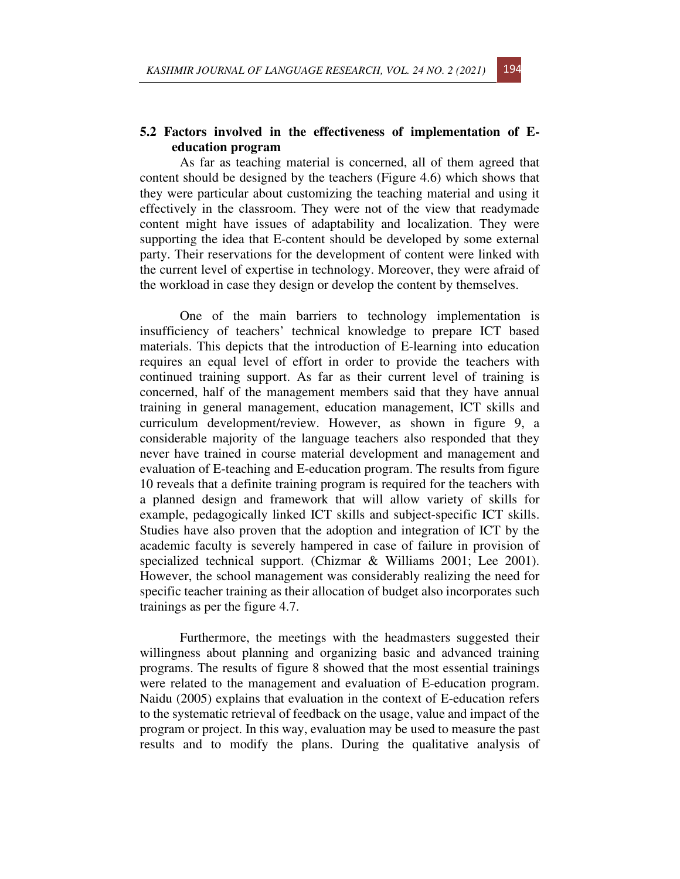## **5.2 Factors involved in the effectiveness of implementation of Eeducation program**

As far as teaching material is concerned, all of them agreed that content should be designed by the teachers (Figure 4.6) which shows that they were particular about customizing the teaching material and using it effectively in the classroom. They were not of the view that readymade content might have issues of adaptability and localization. They were supporting the idea that E-content should be developed by some external party. Their reservations for the development of content were linked with the current level of expertise in technology. Moreover, they were afraid of the workload in case they design or develop the content by themselves.

One of the main barriers to technology implementation is insufficiency of teachers' technical knowledge to prepare ICT based materials. This depicts that the introduction of E-learning into education requires an equal level of effort in order to provide the teachers with continued training support. As far as their current level of training is concerned, half of the management members said that they have annual training in general management, education management, ICT skills and curriculum development/review. However, as shown in figure 9, a considerable majority of the language teachers also responded that they never have trained in course material development and management and evaluation of E-teaching and E-education program. The results from figure 10 reveals that a definite training program is required for the teachers with a planned design and framework that will allow variety of skills for example, pedagogically linked ICT skills and subject-specific ICT skills. Studies have also proven that the adoption and integration of ICT by the academic faculty is severely hampered in case of failure in provision of specialized technical support. (Chizmar & Williams 2001; Lee 2001). However, the school management was considerably realizing the need for specific teacher training as their allocation of budget also incorporates such trainings as per the figure 4.7.

Furthermore, the meetings with the headmasters suggested their willingness about planning and organizing basic and advanced training programs. The results of figure 8 showed that the most essential trainings were related to the management and evaluation of E-education program. Naidu (2005) explains that evaluation in the context of E-education refers to the systematic retrieval of feedback on the usage, value and impact of the program or project. In this way, evaluation may be used to measure the past results and to modify the plans. During the qualitative analysis of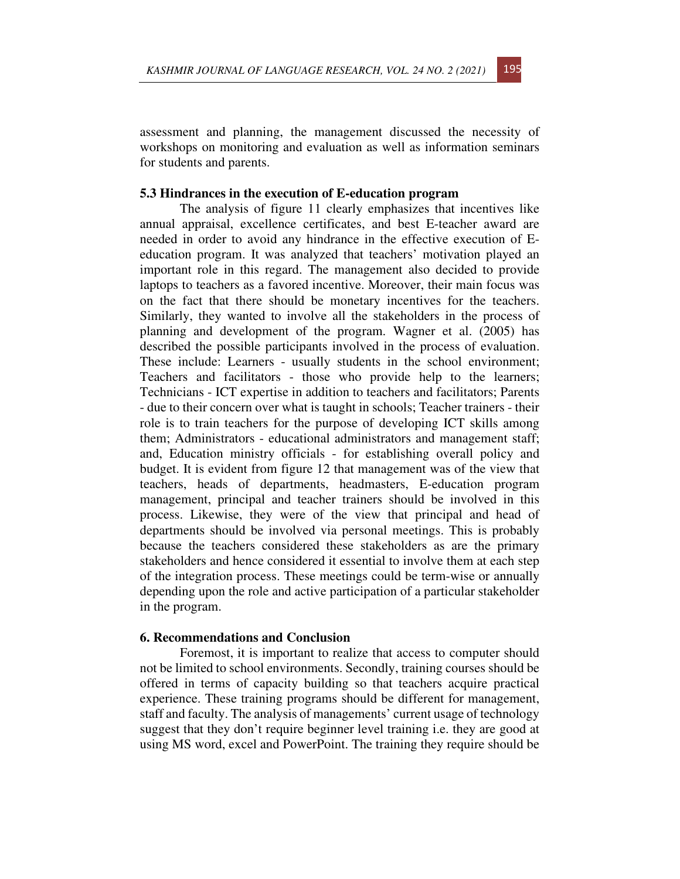assessment and planning, the management discussed the necessity of workshops on monitoring and evaluation as well as information seminars for students and parents.

### **5.3 Hindrances in the execution of E-education program**

The analysis of figure 11 clearly emphasizes that incentives like annual appraisal, excellence certificates, and best E-teacher award are needed in order to avoid any hindrance in the effective execution of Eeducation program. It was analyzed that teachers' motivation played an important role in this regard. The management also decided to provide laptops to teachers as a favored incentive. Moreover, their main focus was on the fact that there should be monetary incentives for the teachers. Similarly, they wanted to involve all the stakeholders in the process of planning and development of the program. Wagner et al. (2005) has described the possible participants involved in the process of evaluation. These include: Learners - usually students in the school environment; Teachers and facilitators - those who provide help to the learners; Technicians - ICT expertise in addition to teachers and facilitators; Parents - due to their concern over what is taught in schools; Teacher trainers - their role is to train teachers for the purpose of developing ICT skills among them; Administrators - educational administrators and management staff; and, Education ministry officials - for establishing overall policy and budget. It is evident from figure 12 that management was of the view that teachers, heads of departments, headmasters, E-education program management, principal and teacher trainers should be involved in this process. Likewise, they were of the view that principal and head of departments should be involved via personal meetings. This is probably because the teachers considered these stakeholders as are the primary stakeholders and hence considered it essential to involve them at each step of the integration process. These meetings could be term-wise or annually depending upon the role and active participation of a particular stakeholder in the program.

### **6. Recommendations and Conclusion**

Foremost, it is important to realize that access to computer should not be limited to school environments. Secondly, training courses should be offered in terms of capacity building so that teachers acquire practical experience. These training programs should be different for management, staff and faculty. The analysis of managements' current usage of technology suggest that they don't require beginner level training i.e. they are good at using MS word, excel and PowerPoint. The training they require should be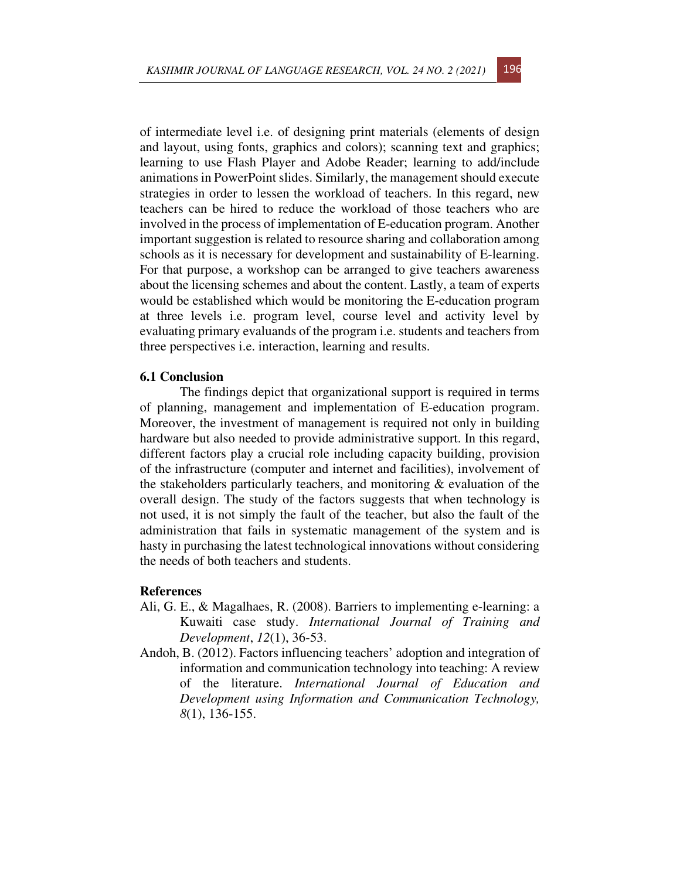of intermediate level i.e. of designing print materials (elements of design and layout, using fonts, graphics and colors); scanning text and graphics; learning to use Flash Player and Adobe Reader; learning to add/include animations in PowerPoint slides. Similarly, the management should execute strategies in order to lessen the workload of teachers. In this regard, new teachers can be hired to reduce the workload of those teachers who are involved in the process of implementation of E-education program. Another important suggestion is related to resource sharing and collaboration among schools as it is necessary for development and sustainability of E-learning. For that purpose, a workshop can be arranged to give teachers awareness about the licensing schemes and about the content. Lastly, a team of experts would be established which would be monitoring the E-education program at three levels i.e. program level, course level and activity level by evaluating primary evaluands of the program i.e. students and teachers from three perspectives i.e. interaction, learning and results.

#### **6.1 Conclusion**

The findings depict that organizational support is required in terms of planning, management and implementation of E-education program. Moreover, the investment of management is required not only in building hardware but also needed to provide administrative support. In this regard, different factors play a crucial role including capacity building, provision of the infrastructure (computer and internet and facilities), involvement of the stakeholders particularly teachers, and monitoring & evaluation of the overall design. The study of the factors suggests that when technology is not used, it is not simply the fault of the teacher, but also the fault of the administration that fails in systematic management of the system and is hasty in purchasing the latest technological innovations without considering the needs of both teachers and students.

### **References**

- Ali, G. E., & Magalhaes, R. (2008). Barriers to implementing e-learning: a Kuwaiti case study. *International Journal of Training and Development*, *12*(1), 36-53.
- Andoh, B. (2012). Factors influencing teachers' adoption and integration of information and communication technology into teaching: A review of the literature. *International Journal of Education and Development using Information and Communication Technology, 8*(1), 136-155.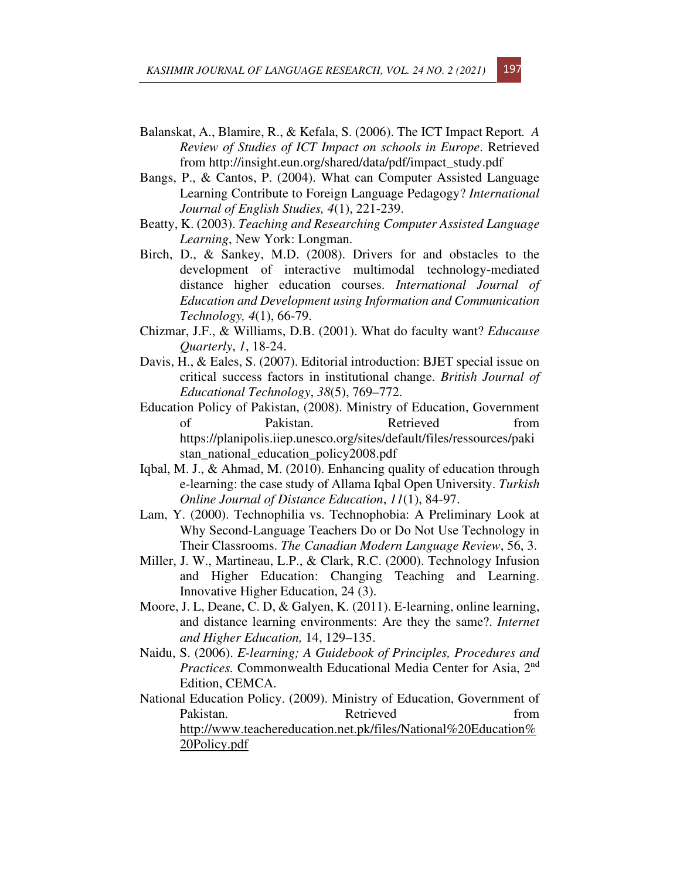- Balanskat, A., Blamire, R., & Kefala, S. (2006). The ICT Impact Report*. A Review of Studies of ICT Impact on schools in Europe*. Retrieved from http://insight.eun.org/shared/data/pdf/impact\_study.pdf
- Bangs, P., & Cantos, P. (2004). What can Computer Assisted Language Learning Contribute to Foreign Language Pedagogy? *International Journal of English Studies, 4*(1), 221-239.
- Beatty, K. (2003). *Teaching and Researching Computer Assisted Language Learning*, New York: Longman.
- Birch, D., & Sankey, M.D. (2008). Drivers for and obstacles to the development of interactive multimodal technology-mediated distance higher education courses. *International Journal of Education and Development using Information and Communication Technology, 4*(1), 66-79.
- Chizmar, J.F., & Williams, D.B. (2001). What do faculty want? *Educause Quarterly*, *1*, 18-24.
- Davis, H., & Eales, S. (2007). Editorial introduction: BJET special issue on critical success factors in institutional change. *British Journal of Educational Technology*, *38*(5), 769–772.
- Education Policy of Pakistan, (2008). Ministry of Education, Government of Pakistan. Retrieved from https://planipolis.iiep.unesco.org/sites/default/files/ressources/paki stan\_national\_education\_policy2008.pdf
- Iqbal, M. J., & Ahmad, M. (2010). Enhancing quality of education through e-learning: the case study of Allama Iqbal Open University. *Turkish Online Journal of Distance Education*, *11*(1), 84-97.
- Lam, Y. (2000). Technophilia vs. Technophobia: A Preliminary Look at Why Second-Language Teachers Do or Do Not Use Technology in Their Classrooms. *The Canadian Modern Language Review*, 56, 3.
- Miller, J. W., Martineau, L.P., & Clark, R.C. (2000). Technology Infusion and Higher Education: Changing Teaching and Learning. Innovative Higher Education, 24 (3).
- Moore, J. L, Deane, C. D, & Galyen, K. (2011). E-learning, online learning, and distance learning environments: Are they the same?. *Internet and Higher Education,* 14, 129–135.
- Naidu, S. (2006). *E-learning; A Guidebook of Principles, Procedures and*  Practices. Commonwealth Educational Media Center for Asia, 2<sup>nd</sup> Edition, CEMCA.
- National Education Policy. (2009). Ministry of Education, Government of Pakistan. Retrieved from http://www.teachereducation.net.pk/files/National%20Education% 20Policy.pdf